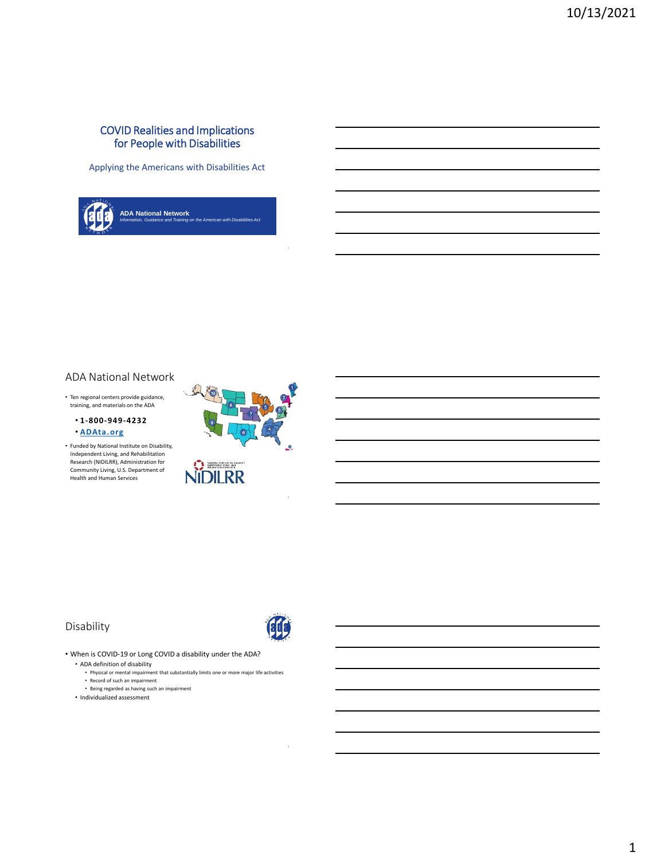#### COVID Realities and Implications for People with Disabilities

Applying the Americans with Disabilities Act



#### ADA National Network

• Ten regional centers provide guidance, training, and materials on the ADA

• **1-800-949-4232** • **[ADAta.org](http://www.adata.org/)**

• Funded by National Institute on Disability, Independent Living, and Rehabilitation Research (NIDILRR), Administration for Community Living, U.S. Department of Health and Human Services



#### Disability



• When is COVID-19 or Long COVID a disability under the ADA?

- ADA definition of disability
	- Physical or mental impairment that substantially limits one or more major life activities • Record of such an impairment
	- Being regarded as having such an impairment
- Individualized assessment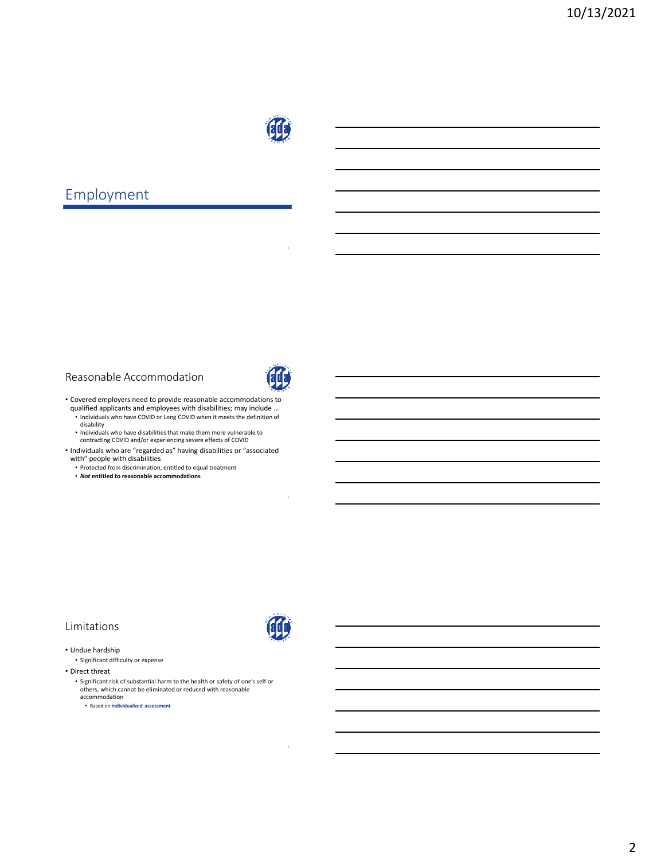

# Employment

#### Reasonable Accommodation



• Covered employers need to provide reasonable accommodations to qualified applicants and employees with disabilities; may include …

• Individuals who have COVID or Long COVID when it meets the definition of disability

- Individuals who have disabilities that make them more vulnerable to contracting COVID and/or experiencing severe effects of COVID
- Individuals who are "regarded as" having disabilities or "associated with" people with disabilities
	- Protected from discrimination, entitled to equal treatment
	- *Not* **entitled to reasonable accommodations**

### Limitations

- Undue hardship • Significant difficulty or expense
- Direct threat
	- Significant risk of substantial harm to the health or safety of one's self or others, which cannot be eliminated or reduced with reasonable accommodation

• Based on **individualized assessment**

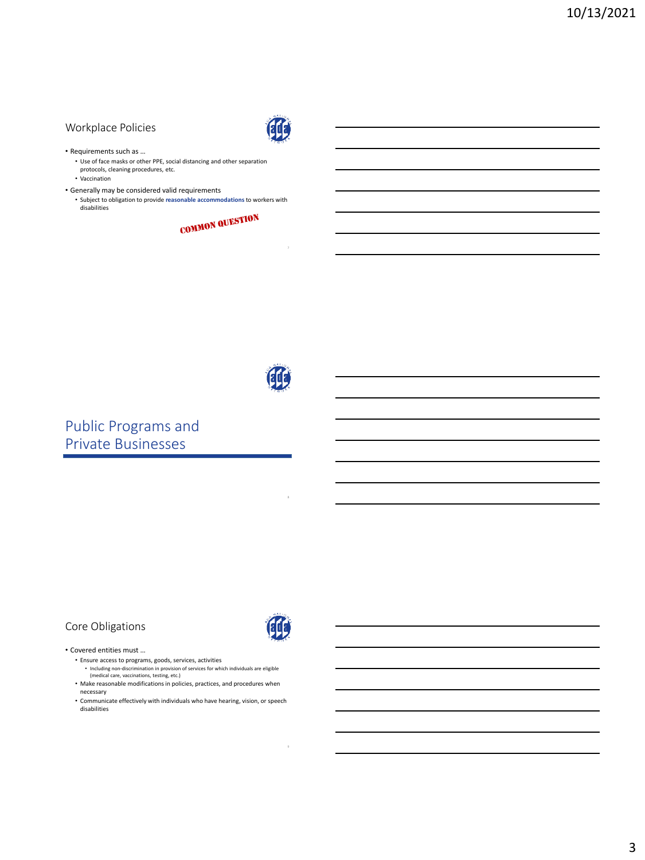### Workplace Policies



- Requirements such as …
	- Use of face masks or other PPE, social distancing and other separation
	- protocols, cleaning procedures, etc.
	- Vaccination
- Generally may be considered valid requirements
	- Subject to obligation to provide **reasonable accommodations** to workers with disabilities





# Public Programs and Private Businesses

## Core Obligations



#### • Covered entities must …

- Ensure access to programs, goods, services, activities • Including non-discrimination in provision of services for which individuals are eligible (medical care, vaccinations, testing, etc.)
- Make reasonable modifications in policies, practices, and procedures when necessary
- Communicate effectively with individuals who have hearing, vision, or speech disabilities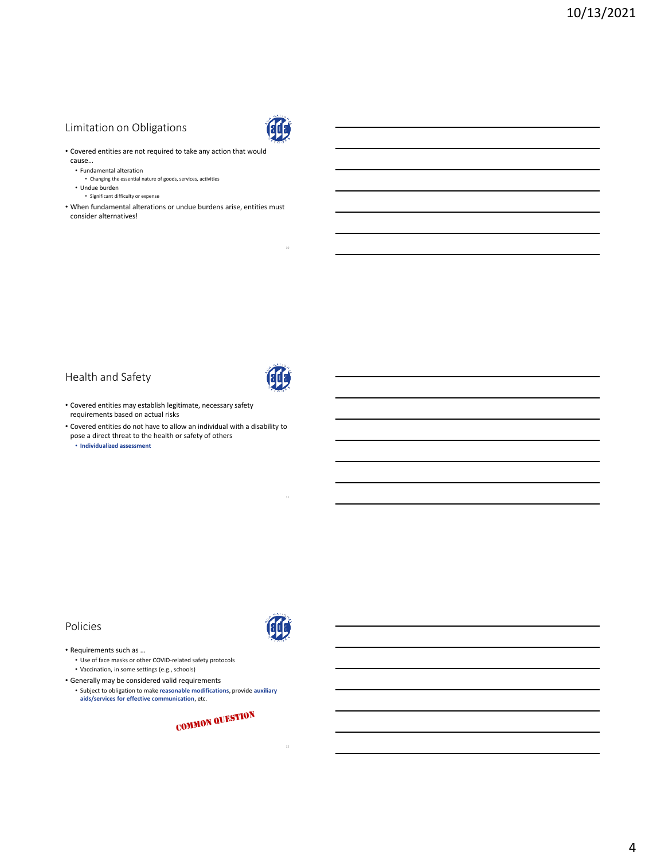### Limitation on Obligations



- Covered entities are not required to take any action that would cause…
	- Fundamental alteration
	- Changing the essential nature of goods, services, activities
	- Undue burden
		- Significant difficulty or expense
- When fundamental alterations or undue burdens arise, entities must consider alternatives!

## Health and Safety



- Covered entities may establish legitimate, necessary safety requirements based on actual risks
- Covered entities do not have to allow an individual with a disability to pose a direct threat to the health or safety of others

• **Individualized assessment**

#### Policies

• Requirements such as …

- Use of face masks or other COVID-related safety protocols
- Vaccination, in some settings (e.g., schools)
- Generally may be considered valid requirements • Subject to obligation to make **reasonable modifications**, provide **auxiliary aids/services for effective communication**, etc.

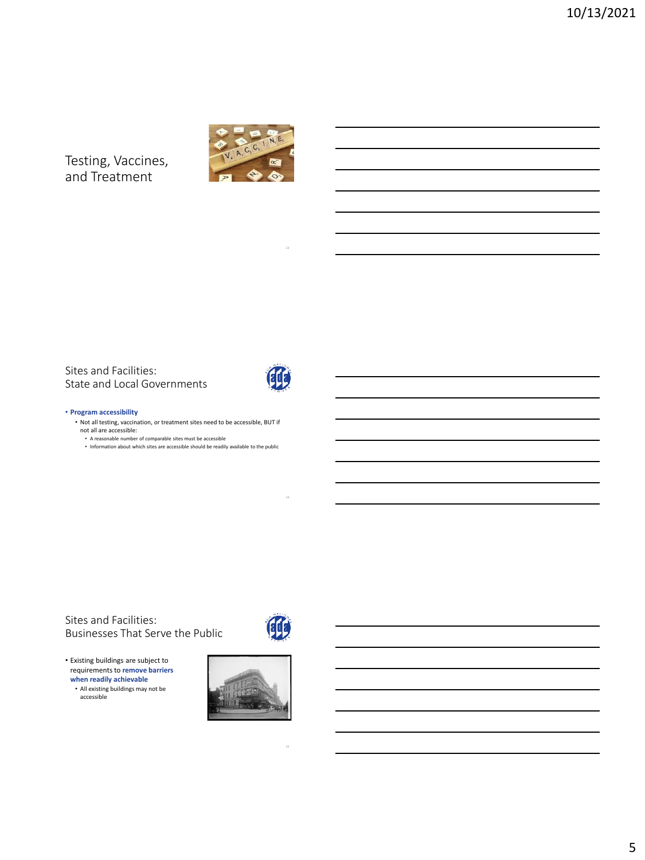Testing, Vaccines, and Treatment



Sites and Facilities: State and Local Governments



#### • **Program accessibility**

• Not all testing, vaccination, or treatment sites need to be accessible, BUT if not all are accessible:

• A reasonable number of comparable sites must be accessible

• Information about which sites are accessible should be readily available to the public

Sites and Facilities: Businesses That Serve the Public



• Existing buildings are subject to requirements to **remove barriers when readily achievable**

• All existing buildings may not be accessible

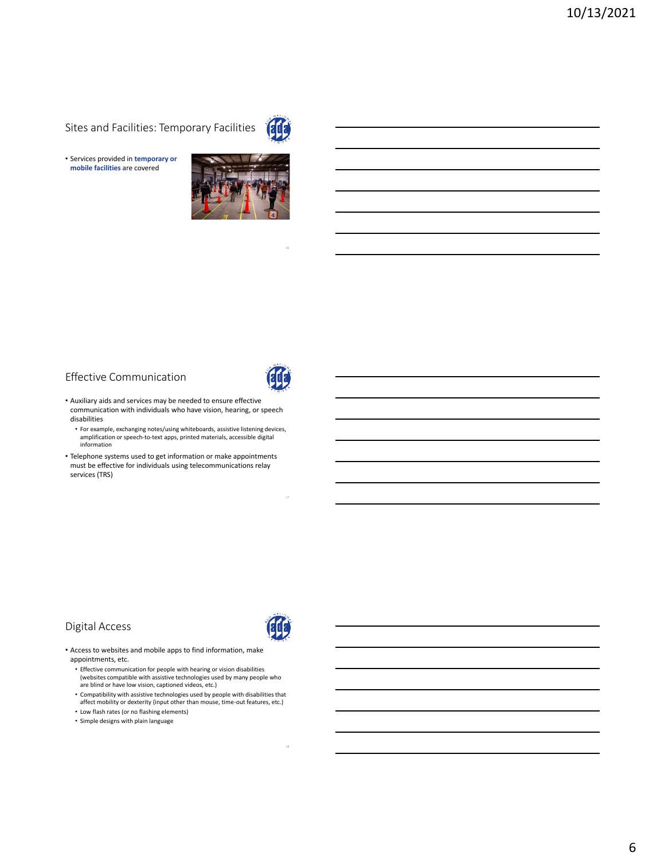Sites and Facilities: Temporary Facilities



• Services provided in **temporary or mobile facilities** are covered



### Effective Communication



- Auxiliary aids and services may be needed to ensure effective communication with individuals who have vision, hearing, or speech disabilities
	- For example, exchanging notes/using whiteboards, assistive listening devices, amplification or speech-to-text apps, printed materials, accessible digital information
- Telephone systems used to get information or make appointments must be effective for individuals using telecommunications relay services (TRS)

#### Digital Access



- Access to websites and mobile apps to find information, make appointments, etc.
	- Effective communication for people with hearing or vision disabilities (websites compatible with assistive technologies used by many people who are blind or have low vision, captioned videos, etc.)
	- Compatibility with assistive technologies used by people with disabilities that affect mobility or dexterity (input other than mouse, time-out features, etc.)
	- Low flash rates (or no flashing elements)
	- Simple designs with plain language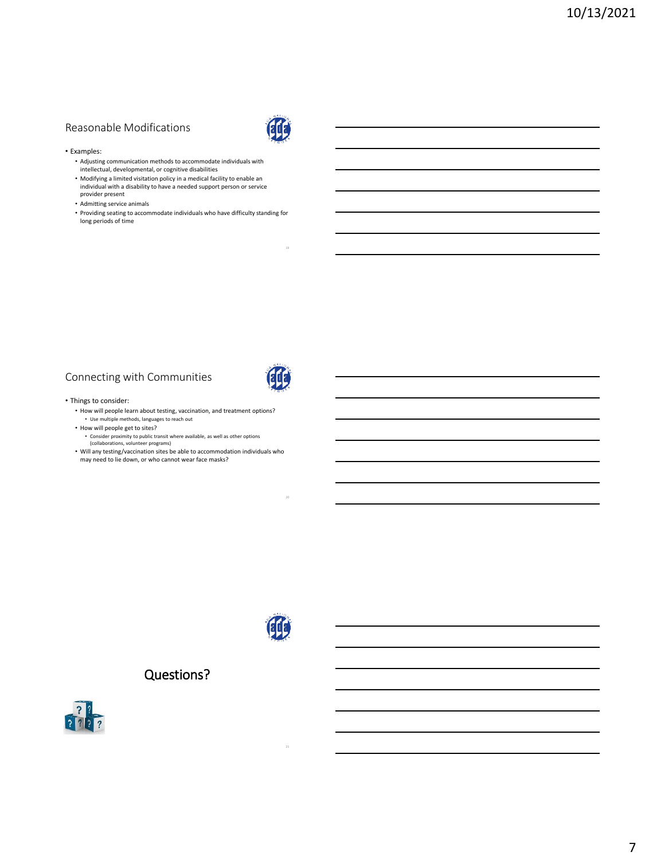# Reasonable Modifications



#### • Examples:

- Adjusting communication methods to accommodate individuals with intellectual, developmental, or cognitive disabilities
- Modifying a limited visitation policy in a medical facility to enable an individual with a disability to have a needed support person or service provider present
- Admitting service animals
- Providing seating to accommodate individuals who have difficulty standing for long periods of time

#### Connecting with Communities



#### • Things to consider:

- How will people learn about testing, vaccination, and treatment options? • Use multiple methods, languages to reach out
- How will people get to sites? • Consider proximity to public transit where available, as well as other options
- (collaborations, volunteer programs) • Will any testing/vaccination sites be able to accommodation individuals who
- may need to lie down, or who cannot wear face masks?



# Questions?